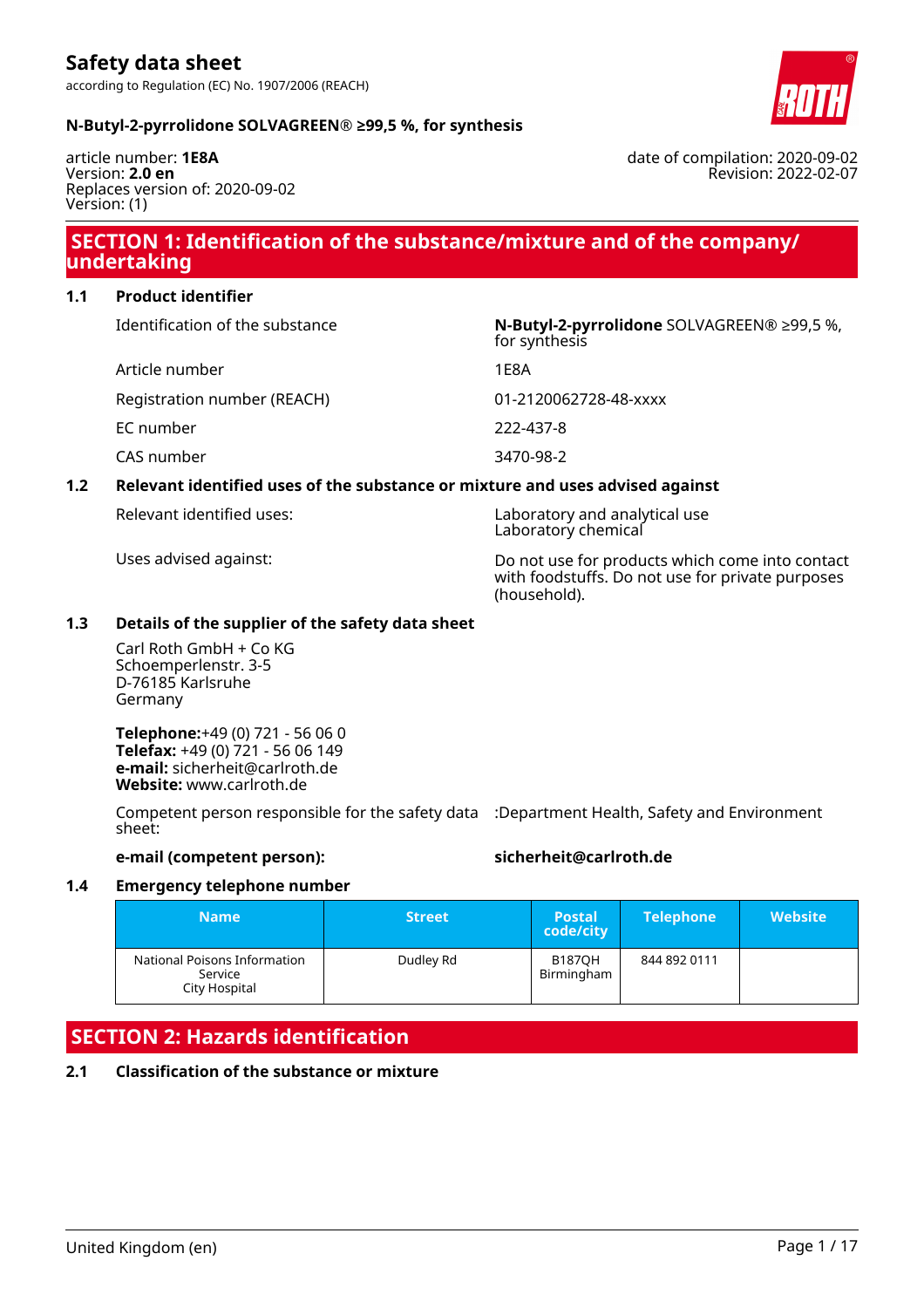

#### **N-Butyl-2-pyrrolidone SOLVAGREEN® ≥99,5 %, for synthesis**

article number: **1E8A** Version: **2.0 en** Replaces version of: 2020-09-02 Version: (1)

date of compilation: 2020-09-02 Revision: 2022-02-07

# **SECTION 1: Identification of the substance/mixture and of the company/ undertaking**

#### **1.1 Product identifier**

| Identification of the substance | N-Butyl-2-pyrrolidone SOLVAGREEN® ≥99,5 %,<br>for synthesis |
|---------------------------------|-------------------------------------------------------------|
| Article number                  | 1 E 8 A                                                     |
| Registration number (REACH)     | 01-2120062728-48-xxxx                                       |
| EC number                       | 222-437-8                                                   |
| CAS number                      | 3470-98-2                                                   |
|                                 |                                                             |

#### **1.2 Relevant identified uses of the substance or mixture and uses advised against**

| Relevant identified uses: |  |  |
|---------------------------|--|--|
|---------------------------|--|--|

Laboratory and analytical use Laboratory chemical

Uses advised against: Do not use for products which come into contact with foodstuffs. Do not use for private purposes (household).

#### **1.3 Details of the supplier of the safety data sheet**

Carl Roth GmbH + Co KG Schoemperlenstr. 3-5 D-76185 Karlsruhe Germany

**Telephone:**+49 (0) 721 - 56 06 0 **Telefax:** +49 (0) 721 - 56 06 149 **e-mail:** sicherheit@carlroth.de **Website:** www.carlroth.de

Competent person responsible for the safety data :Department Health, Safety and Environment sheet:

#### **e-mail (competent person): sicherheit@carlroth.de**

#### **1.4 Emergency telephone number**

| <b>Name</b>                                              | <b>Street</b> | <b>Postal</b><br>code/city  | <b>Telephone</b> | Website <b>\</b> |
|----------------------------------------------------------|---------------|-----------------------------|------------------|------------------|
| National Poisons Information<br>Service<br>City Hospital | Dudley Rd     | <b>B187OH</b><br>Birmingham | 844 892 0111     |                  |

# **SECTION 2: Hazards identification**

#### **2.1 Classification of the substance or mixture**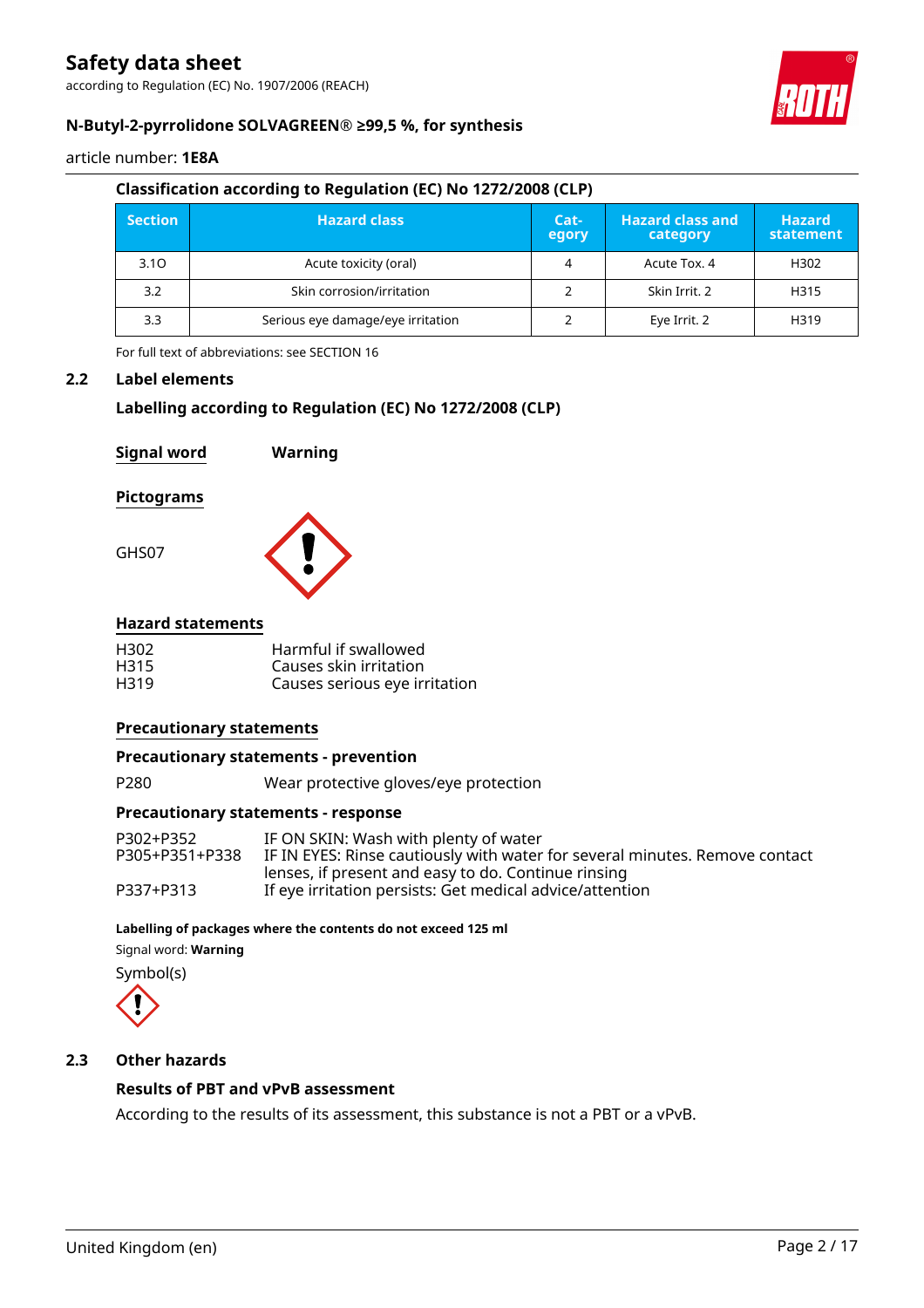according to Regulation (EC) No. 1907/2006 (REACH)



#### **N-Butyl-2-pyrrolidone SOLVAGREEN® ≥99,5 %, for synthesis**

article number: **1E8A**

#### **Classification according to Regulation (EC) No 1272/2008 (CLP)**

| <b>Section</b> | <b>Hazard class</b>               |   | <b>Hazard class and</b><br>category | <b>Hazard</b><br>statement |
|----------------|-----------------------------------|---|-------------------------------------|----------------------------|
| 3.10           | Acute toxicity (oral)             | 4 | Acute Tox. 4                        | H302                       |
| 3.2            | Skin corrosion/irritation         |   | Skin Irrit. 2                       | H315                       |
| 3.3            | Serious eye damage/eye irritation |   | Eye Irrit. 2                        | H319                       |

For full text of abbreviations: see SECTION 16

#### **2.2 Label elements**

#### **Labelling according to Regulation (EC) No 1272/2008 (CLP)**

| <b>Signal word</b>       | Warning              |
|--------------------------|----------------------|
| <b>Pictograms</b>        |                      |
| GHS07                    |                      |
| <b>Hazard statements</b> |                      |
| 1302                     | Harmful if swallowed |

|      | TIGHTHOFII SWAIIOWCA          |
|------|-------------------------------|
| H315 | Causes skin irritation        |
| H319 | Causes serious eye irritation |

#### **Precautionary statements**

#### **Precautionary statements - prevention**

P280 Wear protective gloves/eye protection

#### **Precautionary statements - response**

| P302+P352      | IF ON SKIN: Wash with plenty of water                                       |
|----------------|-----------------------------------------------------------------------------|
| P305+P351+P338 | IF IN EYES: Rinse cautiously with water for several minutes. Remove contact |
|                | lenses, if present and easy to do. Continue rinsing                         |
| P337+P313      | If eye irritation persists: Get medical advice/attention                    |

#### **Labelling of packages where the contents do not exceed 125 ml**

Signal word: **Warning**

Symbol(s)



#### **2.3 Other hazards**

#### **Results of PBT and vPvB assessment**

According to the results of its assessment, this substance is not a PBT or a vPvB.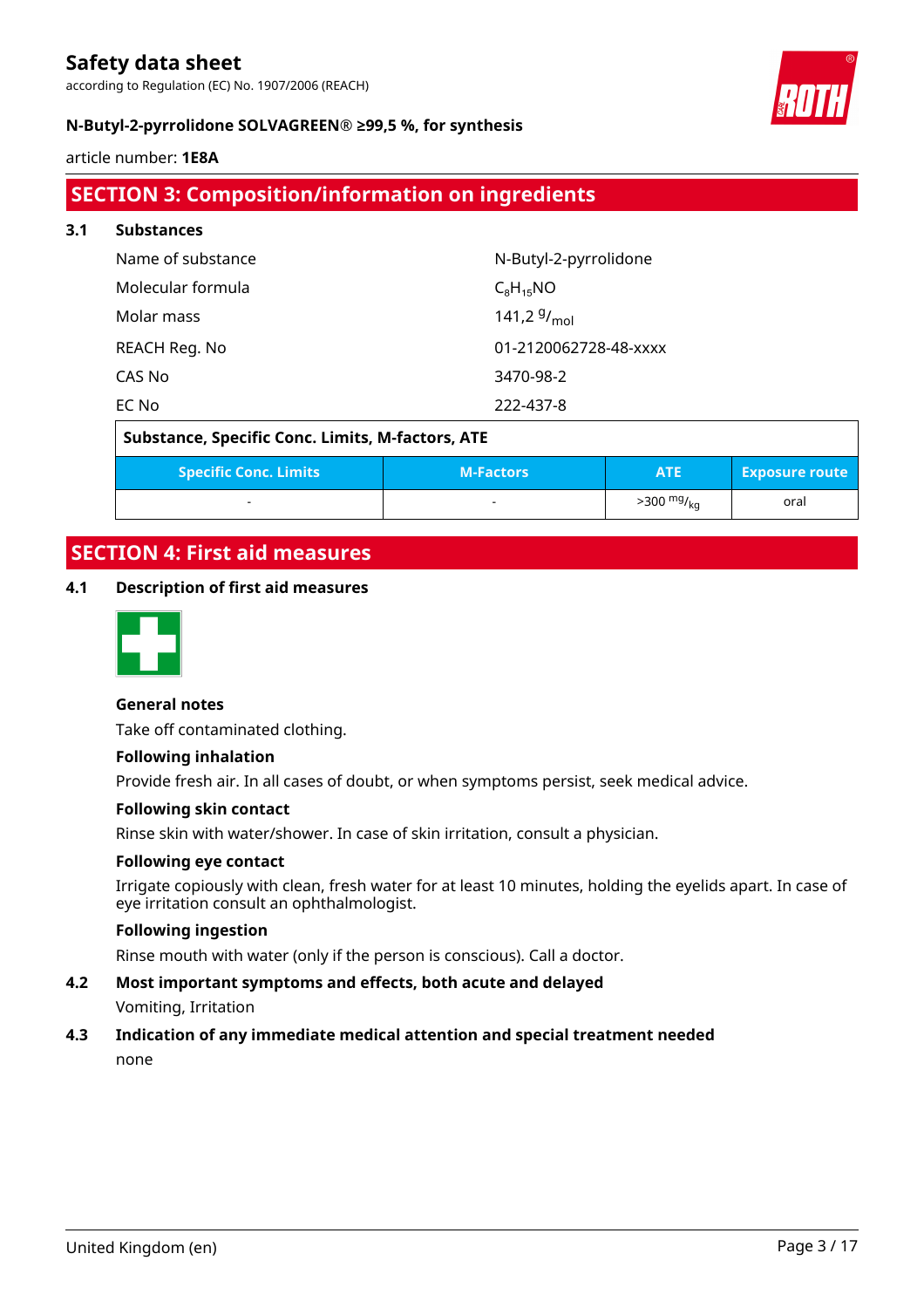according to Regulation (EC) No. 1907/2006 (REACH)



#### **N-Butyl-2-pyrrolidone SOLVAGREEN® ≥99,5 %, for synthesis**

article number: **1E8A**

# **SECTION 3: Composition/information on ingredients**

| 3.1 | <b>Substances</b> |                       |  |  |  |
|-----|-------------------|-----------------------|--|--|--|
|     | Name of substance | N-Butyl-2-pyrrolidone |  |  |  |
|     | Molecular formula | $C_8H_{15}NO$         |  |  |  |
|     | Molar mass        | 141,2 $9/_{mol}$      |  |  |  |
|     | REACH Reg. No     | 01-2120062728-48-xxxx |  |  |  |
|     | CAS No            | 3470-98-2             |  |  |  |
|     | EC No             | 222-437-8             |  |  |  |

# **Substance, Specific Conc. Limits, M-factors, ATE**

| <b>Specific Conc. Limits</b> | <b>M-Factors</b>         | ATE                  | <b>Exposure route</b> |
|------------------------------|--------------------------|----------------------|-----------------------|
|                              | $\overline{\phantom{a}}$ | $>300 \frac{mg}{kg}$ | oral                  |

# **SECTION 4: First aid measures**

#### **4.1 Description of first aid measures**



#### **General notes**

Take off contaminated clothing.

#### **Following inhalation**

Provide fresh air. In all cases of doubt, or when symptoms persist, seek medical advice.

#### **Following skin contact**

Rinse skin with water/shower. In case of skin irritation, consult a physician.

#### **Following eye contact**

Irrigate copiously with clean, fresh water for at least 10 minutes, holding the eyelids apart. In case of eye irritation consult an ophthalmologist.

#### **Following ingestion**

Rinse mouth with water (only if the person is conscious). Call a doctor.

# **4.2 Most important symptoms and effects, both acute and delayed**

Vomiting, Irritation

### **4.3 Indication of any immediate medical attention and special treatment needed**

none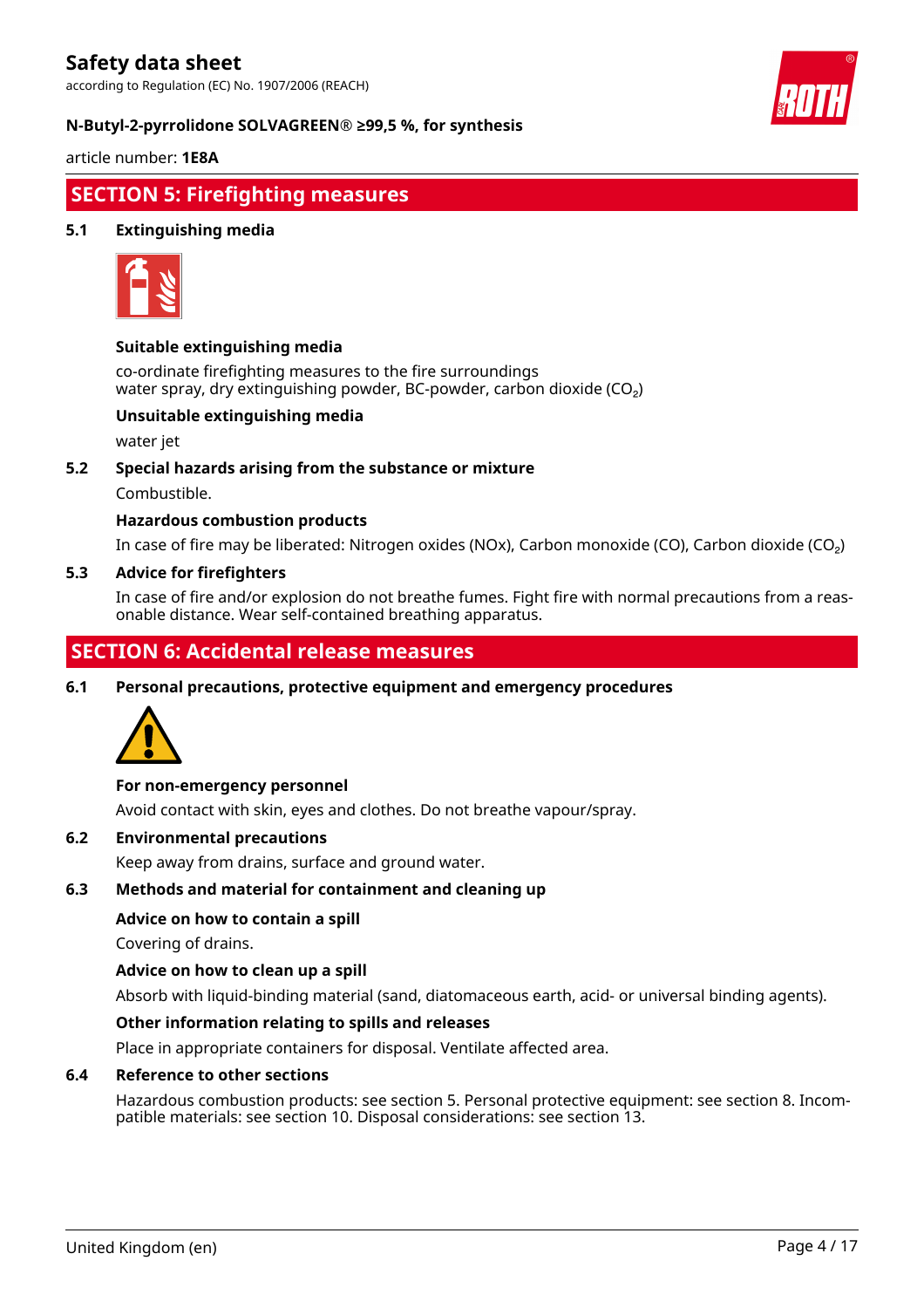according to Regulation (EC) No. 1907/2006 (REACH)



#### **N-Butyl-2-pyrrolidone SOLVAGREEN® ≥99,5 %, for synthesis**

article number: **1E8A**

# **SECTION 5: Firefighting measures**

#### **5.1 Extinguishing media**



#### **Suitable extinguishing media**

co-ordinate firefighting measures to the fire surroundings water spray, dry extinguishing powder, BC-powder, carbon dioxide  $(CO<sub>2</sub>)$ 

#### **Unsuitable extinguishing media**

water jet

#### **5.2 Special hazards arising from the substance or mixture**

Combustible.

#### **Hazardous combustion products**

In case of fire may be liberated: Nitrogen oxides (NOx), Carbon monoxide (CO), Carbon dioxide (CO₂)

#### **5.3 Advice for firefighters**

In case of fire and/or explosion do not breathe fumes. Fight fire with normal precautions from a reasonable distance. Wear self-contained breathing apparatus.

# **SECTION 6: Accidental release measures**

**6.1 Personal precautions, protective equipment and emergency procedures**



#### **For non-emergency personnel**

Avoid contact with skin, eyes and clothes. Do not breathe vapour/spray.

#### **6.2 Environmental precautions**

Keep away from drains, surface and ground water.

#### **6.3 Methods and material for containment and cleaning up**

#### **Advice on how to contain a spill**

Covering of drains.

#### **Advice on how to clean up a spill**

Absorb with liquid-binding material (sand, diatomaceous earth, acid- or universal binding agents).

#### **Other information relating to spills and releases**

Place in appropriate containers for disposal. Ventilate affected area.

#### **6.4 Reference to other sections**

Hazardous combustion products: see section 5. Personal protective equipment: see section 8. Incompatible materials: see section 10. Disposal considerations: see section 13.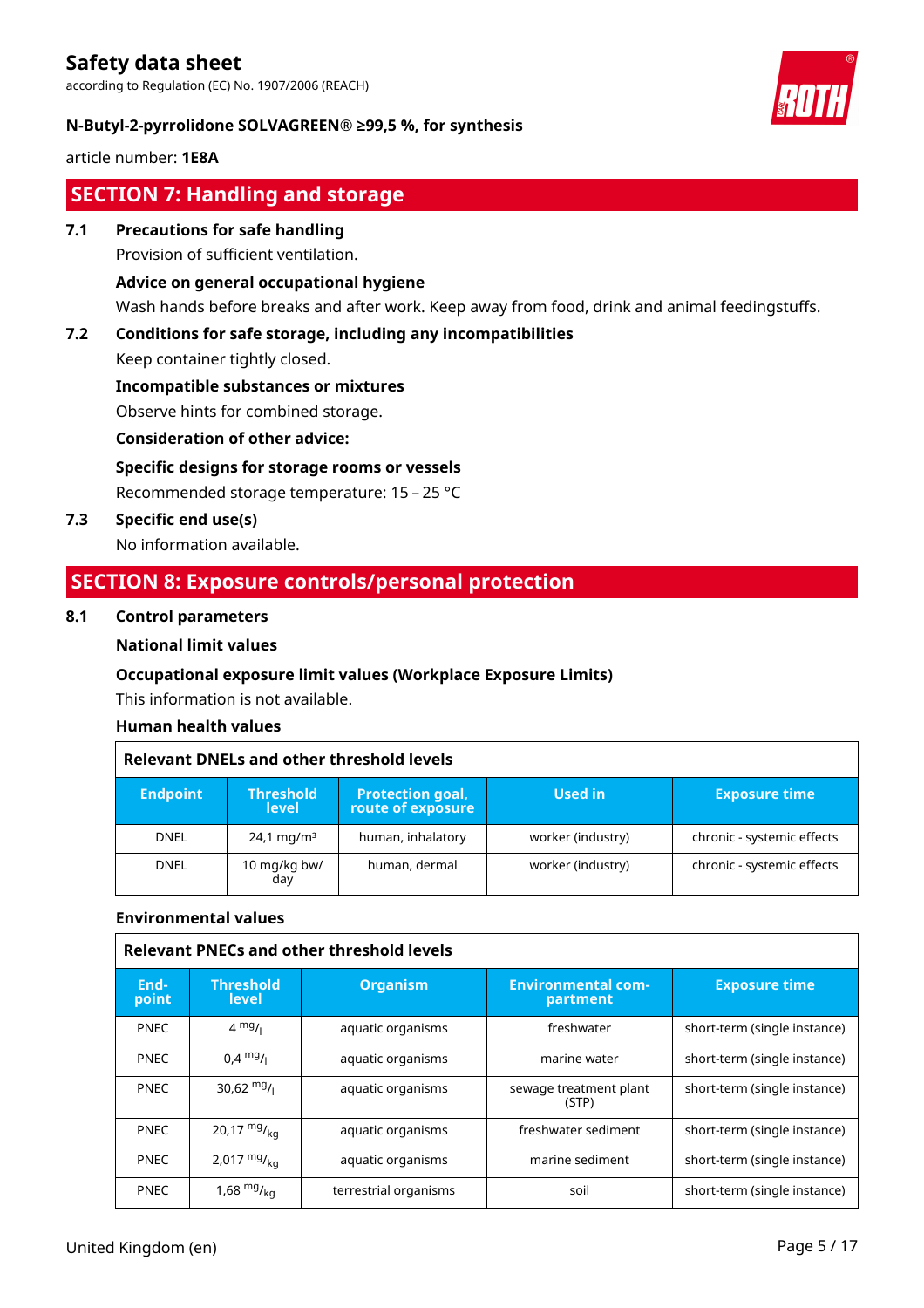according to Regulation (EC) No. 1907/2006 (REACH)



#### **N-Butyl-2-pyrrolidone SOLVAGREEN® ≥99,5 %, for synthesis**

article number: **1E8A**

# **SECTION 7: Handling and storage**

**7.1 Precautions for safe handling**

Provision of sufficient ventilation.

#### **Advice on general occupational hygiene**

Wash hands before breaks and after work. Keep away from food, drink and animal feedingstuffs.

#### **7.2 Conditions for safe storage, including any incompatibilities**

Keep container tightly closed.

**Incompatible substances or mixtures**

Observe hints for combined storage.

#### **Consideration of other advice:**

## **Specific designs for storage rooms or vessels**

Recommended storage temperature: 15 – 25 °C

**7.3 Specific end use(s)**

No information available.

# **SECTION 8: Exposure controls/personal protection**

#### **8.1 Control parameters**

#### **National limit values**

#### **Occupational exposure limit values (Workplace Exposure Limits)**

This information is not available.

#### **Human health values**

| Relevant DNELs and other threshold levels |                                  |                                              |                   |                            |
|-------------------------------------------|----------------------------------|----------------------------------------------|-------------------|----------------------------|
| <b>Endpoint</b>                           | <b>Threshold</b><br><b>level</b> | <b>Protection goal,</b><br>route of exposure | Used in           | <b>Exposure time</b>       |
| <b>DNEL</b>                               | $24.1 \,\mathrm{mg/m^3}$         | human, inhalatory                            | worker (industry) | chronic - systemic effects |
| <b>DNEL</b>                               | 10 mg/kg bw/<br>day              | human, dermal                                | worker (industry) | chronic - systemic effects |

#### **Environmental values**

| <b>Relevant PNECs and other threshold levels</b> |                           |                       |                                       |                              |
|--------------------------------------------------|---------------------------|-----------------------|---------------------------------------|------------------------------|
| End-<br>point                                    | <b>Threshold</b><br>level | <b>Organism</b>       | <b>Environmental com-</b><br>partment | <b>Exposure time</b>         |
| <b>PNEC</b>                                      | $4 \frac{mg}{l}$          | aquatic organisms     | freshwater                            | short-term (single instance) |
| <b>PNEC</b>                                      | $0.4 \text{ mg/}$         | aquatic organisms     | marine water                          | short-term (single instance) |
| <b>PNEC</b>                                      | 30,62 $mg/1$              | aquatic organisms     | sewage treatment plant<br>(STP)       | short-term (single instance) |
| <b>PNEC</b>                                      | 20,17 $mg/_{ka}$          | aquatic organisms     | freshwater sediment                   | short-term (single instance) |
| <b>PNEC</b>                                      | 2,017 $mg/_{ka}$          | aquatic organisms     | marine sediment                       | short-term (single instance) |
| <b>PNEC</b>                                      | 1,68 $mg/_{ka}$           | terrestrial organisms | soil                                  | short-term (single instance) |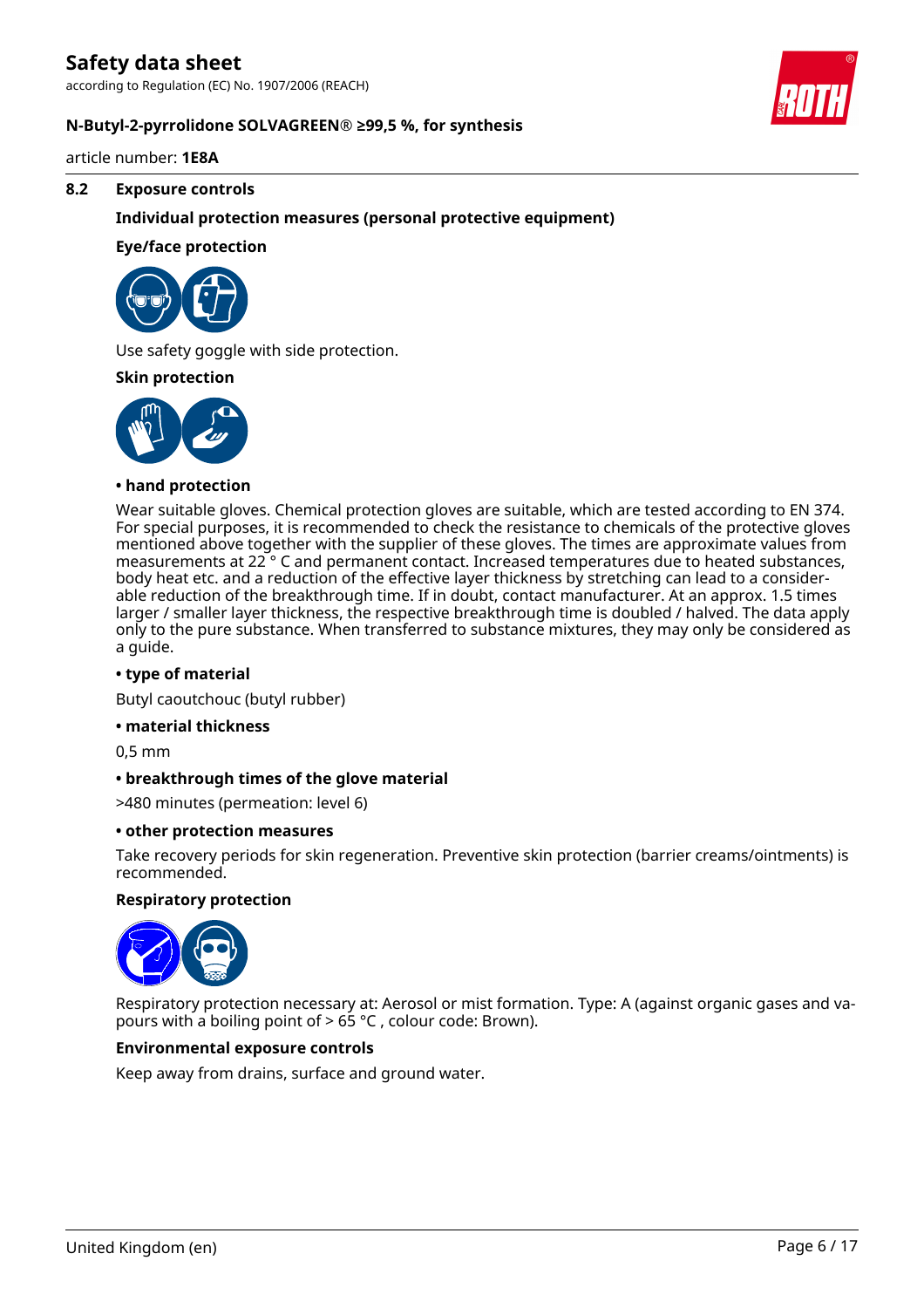according to Regulation (EC) No. 1907/2006 (REACH)



#### **N-Butyl-2-pyrrolidone SOLVAGREEN® ≥99,5 %, for synthesis**

article number: **1E8A**

#### **8.2 Exposure controls**

#### **Individual protection measures (personal protective equipment)**

#### **Eye/face protection**



Use safety goggle with side protection.

#### **Skin protection**



#### **• hand protection**

Wear suitable gloves. Chemical protection gloves are suitable, which are tested according to EN 374. For special purposes, it is recommended to check the resistance to chemicals of the protective gloves mentioned above together with the supplier of these gloves. The times are approximate values from measurements at 22 ° C and permanent contact. Increased temperatures due to heated substances, body heat etc. and a reduction of the effective layer thickness by stretching can lead to a considerable reduction of the breakthrough time. If in doubt, contact manufacturer. At an approx. 1.5 times larger / smaller layer thickness, the respective breakthrough time is doubled / halved. The data apply only to the pure substance. When transferred to substance mixtures, they may only be considered as a guide.

#### **• type of material**

Butyl caoutchouc (butyl rubber)

#### **• material thickness**

0,5 mm

#### **• breakthrough times of the glove material**

>480 minutes (permeation: level 6)

#### **• other protection measures**

Take recovery periods for skin regeneration. Preventive skin protection (barrier creams/ointments) is recommended.

#### **Respiratory protection**



Respiratory protection necessary at: Aerosol or mist formation. Type: A (against organic gases and vapours with a boiling point of > 65 °C , colour code: Brown).

#### **Environmental exposure controls**

Keep away from drains, surface and ground water.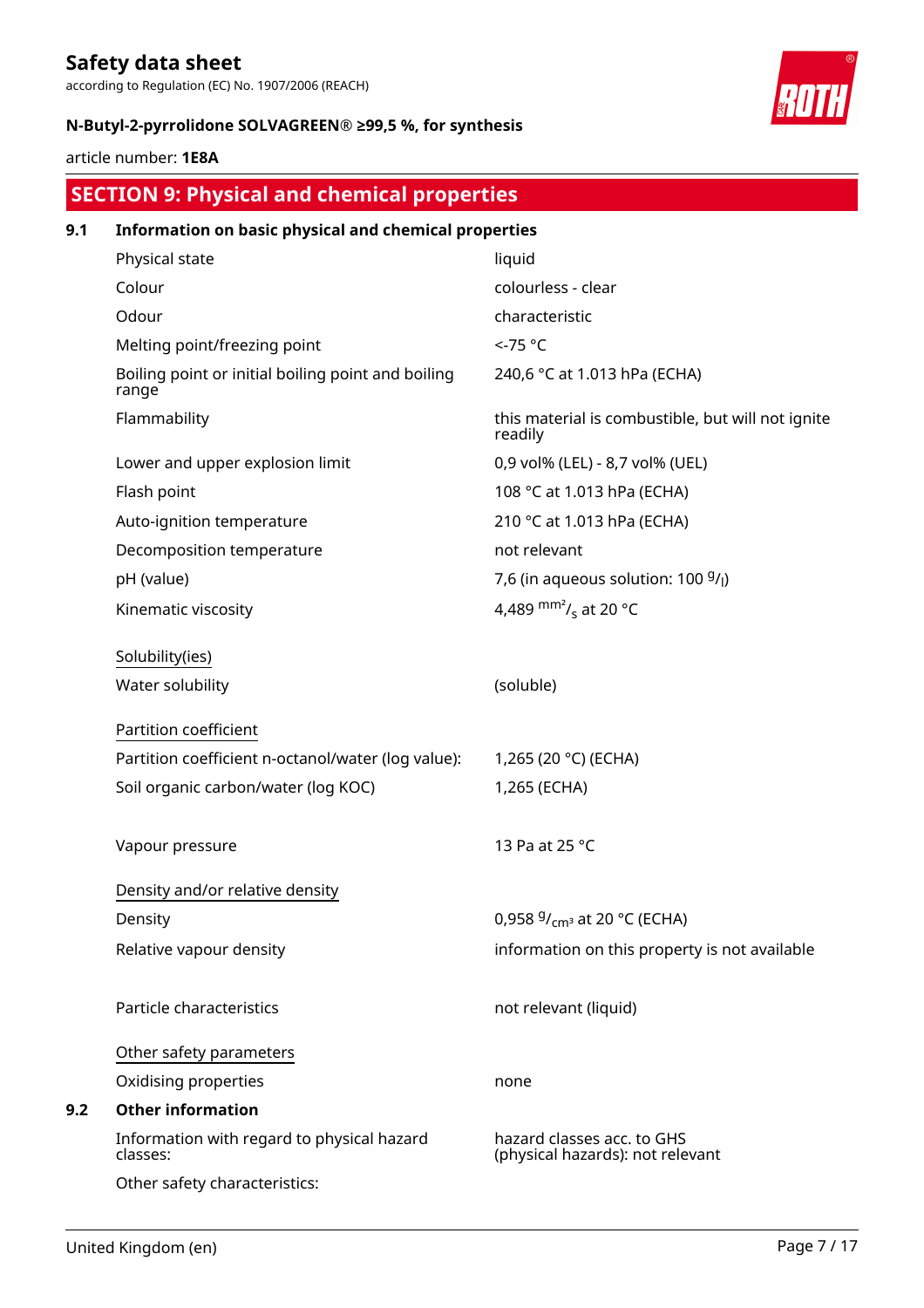according to Regulation (EC) No. 1907/2006 (REACH)



#### **N-Butyl-2-pyrrolidone SOLVAGREEN® ≥99,5 %, for synthesis**

article number: **1E8A**

|     | <b>SECTION 9: Physical and chemical properties</b>          |                                                                |  |  |  |
|-----|-------------------------------------------------------------|----------------------------------------------------------------|--|--|--|
| 9.1 | Information on basic physical and chemical properties       |                                                                |  |  |  |
|     | Physical state                                              | liquid                                                         |  |  |  |
|     | Colour                                                      | colourless - clear                                             |  |  |  |
|     | Odour                                                       | characteristic                                                 |  |  |  |
|     | Melting point/freezing point                                | <-75 °C                                                        |  |  |  |
|     | Boiling point or initial boiling point and boiling<br>range | 240,6 °C at 1.013 hPa (ECHA)                                   |  |  |  |
|     | Flammability                                                | this material is combustible, but will not ignite<br>readily   |  |  |  |
|     | Lower and upper explosion limit                             | 0,9 vol% (LEL) - 8,7 vol% (UEL)                                |  |  |  |
|     | Flash point                                                 | 108 °C at 1.013 hPa (ECHA)                                     |  |  |  |
|     | Auto-ignition temperature                                   | 210 °C at 1.013 hPa (ECHA)                                     |  |  |  |
|     | Decomposition temperature                                   | not relevant                                                   |  |  |  |
|     | pH (value)                                                  | 7,6 (in aqueous solution: $100\frac{9}{l}$ )                   |  |  |  |
|     | Kinematic viscosity                                         | 4,489 $\text{mm}^2$ / <sub>s</sub> at 20 °C                    |  |  |  |
|     | Solubility(ies)                                             |                                                                |  |  |  |
|     | Water solubility                                            | (soluble)                                                      |  |  |  |
|     | Partition coefficient                                       |                                                                |  |  |  |
|     | Partition coefficient n-octanol/water (log value):          | 1,265 (20 °C) (ECHA)                                           |  |  |  |
|     | Soil organic carbon/water (log KOC)                         | 1,265 (ECHA)                                                   |  |  |  |
|     | Vapour pressure                                             | 13 Pa at 25 °C                                                 |  |  |  |
|     | Density and/or relative density                             |                                                                |  |  |  |
|     | Density                                                     | 0,958 $9/_{cm^3}$ at 20 °C (ECHA)                              |  |  |  |
|     | Relative vapour density                                     | information on this property is not available                  |  |  |  |
|     | Particle characteristics                                    | not relevant (liquid)                                          |  |  |  |
|     | Other safety parameters                                     |                                                                |  |  |  |
|     | Oxidising properties                                        | none                                                           |  |  |  |
| 9.2 | <b>Other information</b>                                    |                                                                |  |  |  |
|     | Information with regard to physical hazard<br>classes:      | hazard classes acc. to GHS<br>(physical hazards): not relevant |  |  |  |
|     | Other safety characteristics:                               |                                                                |  |  |  |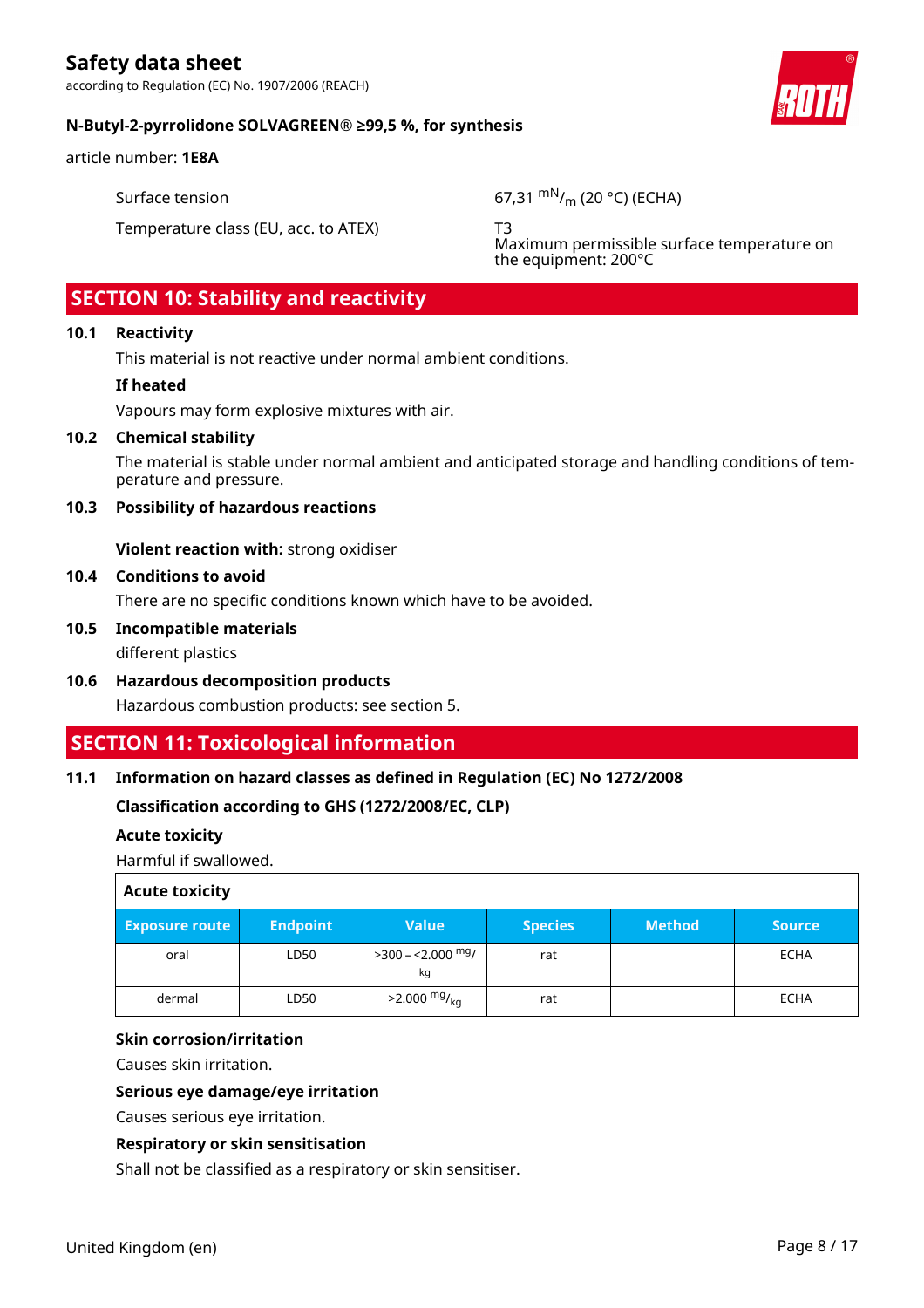according to Regulation (EC) No. 1907/2006 (REACH)



#### **N-Butyl-2-pyrrolidone SOLVAGREEN® ≥99,5 %, for synthesis**

article number: **1E8A**

Surface tension 67,31 mN/<sub>m</sub> (20 °C) (ECHA)

Temperature class (EU, acc. to ATEX) T3

Maximum permissible surface temperature on the equipment: 200°C

# **SECTION 10: Stability and reactivity**

#### **10.1 Reactivity**

This material is not reactive under normal ambient conditions.

#### **If heated**

Vapours may form explosive mixtures with air.

#### **10.2 Chemical stability**

The material is stable under normal ambient and anticipated storage and handling conditions of temperature and pressure.

#### **10.3 Possibility of hazardous reactions**

**Violent reaction with:** strong oxidiser

#### **10.4 Conditions to avoid**

There are no specific conditions known which have to be avoided.

#### **10.5 Incompatible materials** different plastics

**10.6 Hazardous decomposition products** Hazardous combustion products: see section 5.

# **SECTION 11: Toxicological information**

#### **11.1 Information on hazard classes as defined in Regulation (EC) No 1272/2008**

**Classification according to GHS (1272/2008/EC, CLP)**

#### **Acute toxicity**

Harmful if swallowed.

| <b>Acute toxicity</b> |                 |                              |                |               |               |
|-----------------------|-----------------|------------------------------|----------------|---------------|---------------|
| <b>Exposure route</b> | <b>Endpoint</b> | <b>Value</b>                 | <b>Species</b> | <b>Method</b> | <b>Source</b> |
| oral                  | LD50            | $>$ 300 – <2.000 $mg/$<br>kg | rat            |               | ECHA          |
| dermal                | LD50            | $>2.000 \frac{mg}{kg}$       | rat            |               | ECHA          |

#### **Skin corrosion/irritation**

Causes skin irritation.

#### **Serious eye damage/eye irritation**

Causes serious eye irritation.

#### **Respiratory or skin sensitisation**

Shall not be classified as a respiratory or skin sensitiser.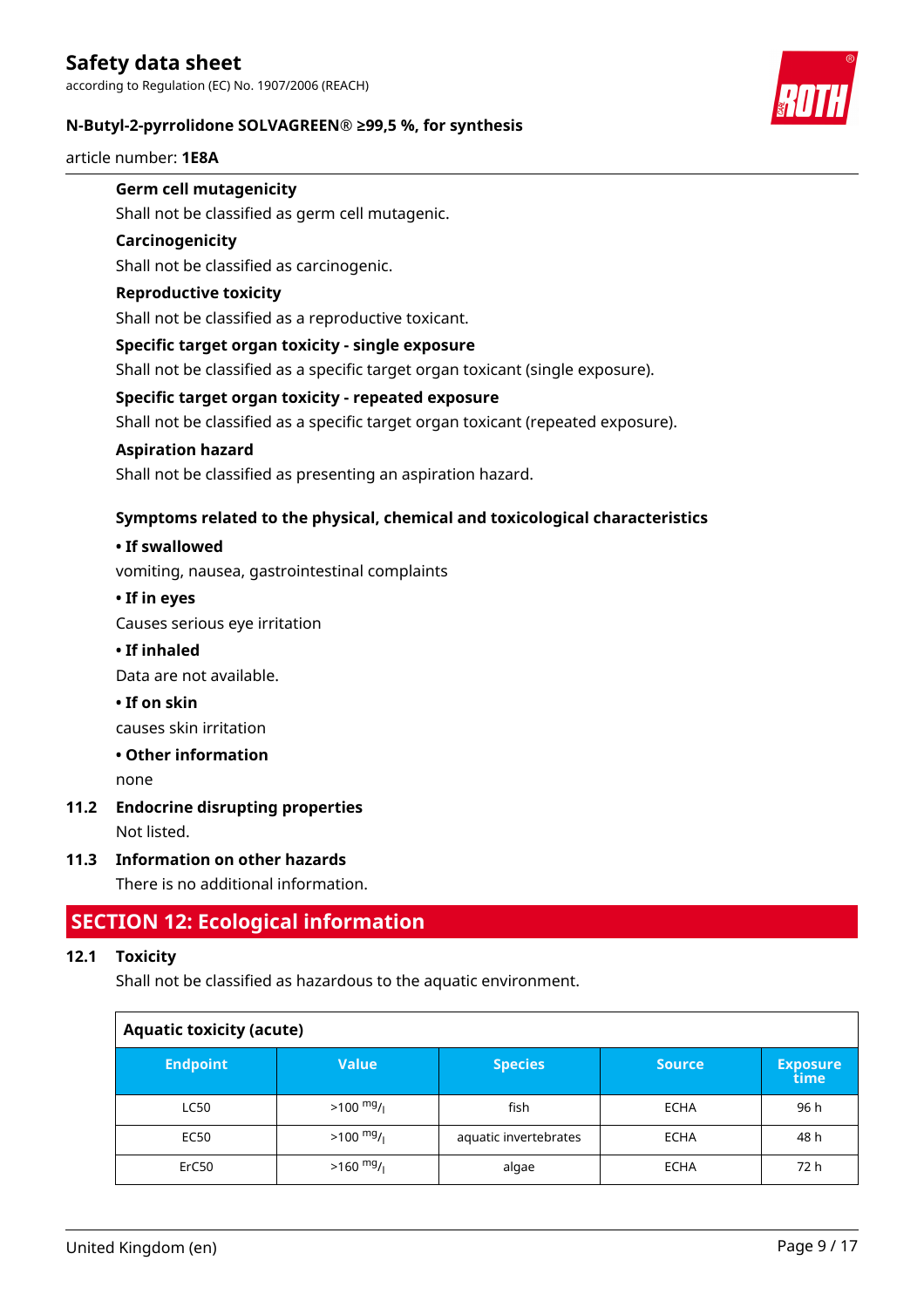

#### **N-Butyl-2-pyrrolidone SOLVAGREEN® ≥99,5 %, for synthesis**

article number: **1E8A**

# **Germ cell mutagenicity**

Shall not be classified as germ cell mutagenic.

#### **Carcinogenicity**

Shall not be classified as carcinogenic.

#### **Reproductive toxicity**

Shall not be classified as a reproductive toxicant.

#### **Specific target organ toxicity - single exposure**

Shall not be classified as a specific target organ toxicant (single exposure).

#### **Specific target organ toxicity - repeated exposure**

Shall not be classified as a specific target organ toxicant (repeated exposure).

#### **Aspiration hazard**

Shall not be classified as presenting an aspiration hazard.

#### **Symptoms related to the physical, chemical and toxicological characteristics**

#### **• If swallowed**

vomiting, nausea, gastrointestinal complaints

#### **• If in eyes**

Causes serious eye irritation

#### **• If inhaled**

Data are not available.

**• If on skin**

causes skin irritation

#### **• Other information**

none

## **11.2 Endocrine disrupting properties**

Not listed.

#### **11.3 Information on other hazards**

There is no additional information.

## **SECTION 12: Ecological information**

#### **12.1 Toxicity**

Shall not be classified as hazardous to the aquatic environment.

| <b>Aquatic toxicity (acute)</b> |                     |                       |               |                         |  |
|---------------------------------|---------------------|-----------------------|---------------|-------------------------|--|
| <b>Endpoint</b>                 | Value               | <b>Species</b>        | <b>Source</b> | <b>Exposure</b><br>time |  |
| <b>LC50</b>                     | $>100 \frac{mg}{l}$ | fish                  | <b>ECHA</b>   | 96 h                    |  |
| EC50                            | $>100 \frac{mg}{l}$ | aquatic invertebrates | <b>ECHA</b>   | 48 h                    |  |
| ErC50                           | $>160$ mg/          | algae                 | <b>ECHA</b>   | 72 h                    |  |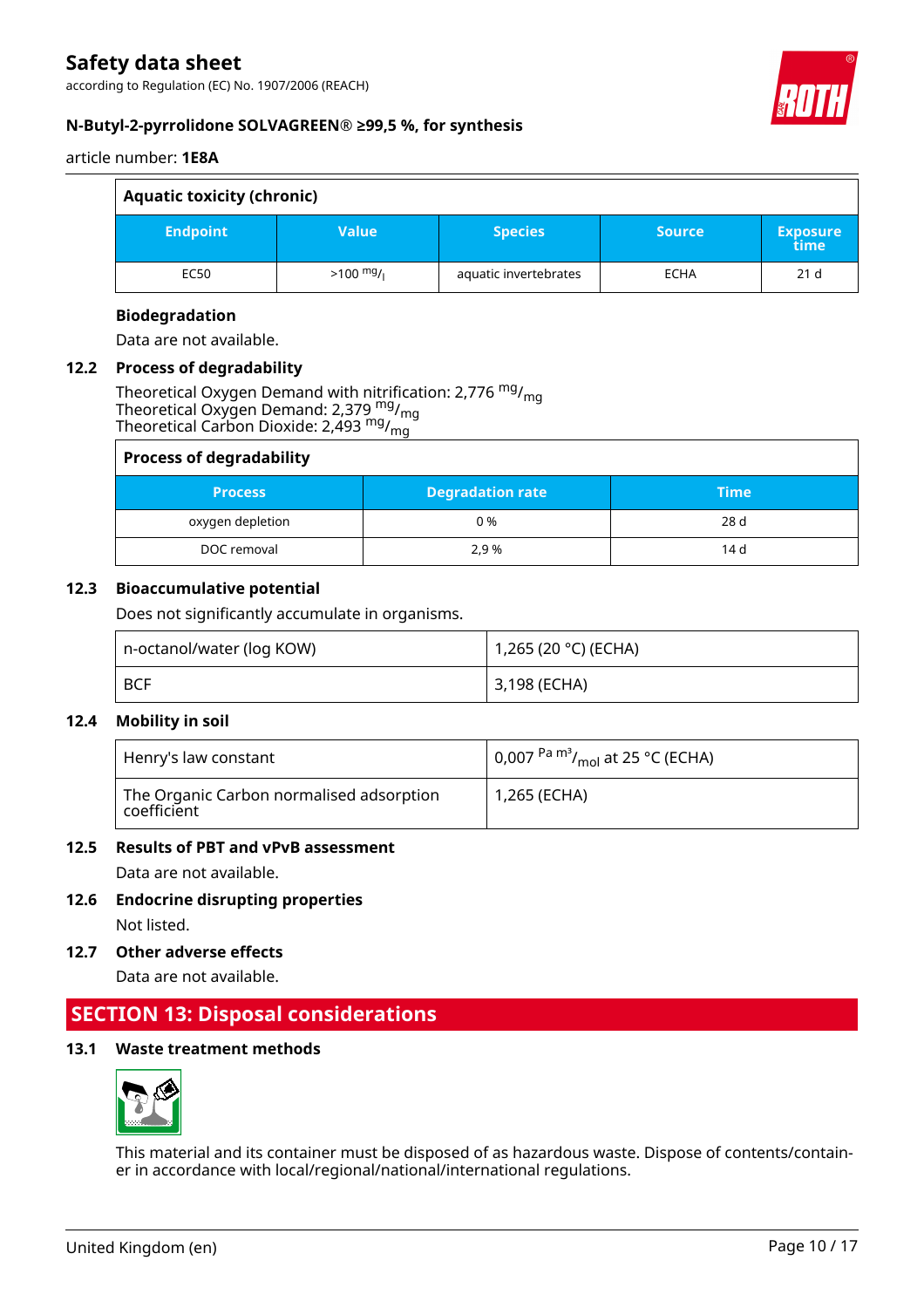according to Regulation (EC) No. 1907/2006 (REACH)



#### **N-Butyl-2-pyrrolidone SOLVAGREEN® ≥99,5 %, for synthesis**

article number: **1E8A**

| <b>Aquatic toxicity (chronic)</b> |                     |                       |               |                         |
|-----------------------------------|---------------------|-----------------------|---------------|-------------------------|
| <b>Endpoint</b>                   | <b>Value</b>        | <b>Species</b>        | <b>Source</b> | <b>Exposure</b><br>time |
| EC50                              | $>100 \frac{mg}{l}$ | aquatic invertebrates | <b>ECHA</b>   | 21 <sub>d</sub>         |

#### **Biodegradation**

Data are not available.

#### **12.2 Process of degradability**

Theoretical Oxygen Demand with nitrification: 2,776 <sup>mg</sup>/<sub>mg</sub> Theoretical Oxygen Demand: 2,379 <sup>mg</sup>/<sub>mg</sub> Theoretical Carbon Dioxide: 2,493  $^{\mathsf{mg}}\prime_{\mathsf{mg}}$ 

| <b>Process of degradability</b> |                         |             |  |  |
|---------------------------------|-------------------------|-------------|--|--|
| <b>Process</b>                  | <b>Degradation rate</b> | <b>Time</b> |  |  |
| oxygen depletion                | 0 %                     | 28 d        |  |  |
| DOC removal                     | 2.9 %                   | 14 d        |  |  |

#### **12.3 Bioaccumulative potential**

Does not significantly accumulate in organisms.

| n-octanol/water (log KOW) | 1,265 (20 °C) (ECHA) |
|---------------------------|----------------------|
| BCF                       | 3,198 (ECHA)         |

#### **12.4 Mobility in soil**

| Henry's law constant                                    | $\mid$ 0,007 <sup>Pa m<sup>3</sup>/<sub>mol</sub> at 25 °C (ECHA)</sup> |
|---------------------------------------------------------|-------------------------------------------------------------------------|
| The Organic Carbon normalised adsorption<br>coefficient | 1,265 (ECHA)                                                            |

#### **12.5 Results of PBT and vPvB assessment**

Data are not available.

- **12.6 Endocrine disrupting properties** Not listed.
- **12.7 Other adverse effects**

Data are not available.

# **SECTION 13: Disposal considerations**

#### **13.1 Waste treatment methods**



This material and its container must be disposed of as hazardous waste. Dispose of contents/container in accordance with local/regional/national/international regulations.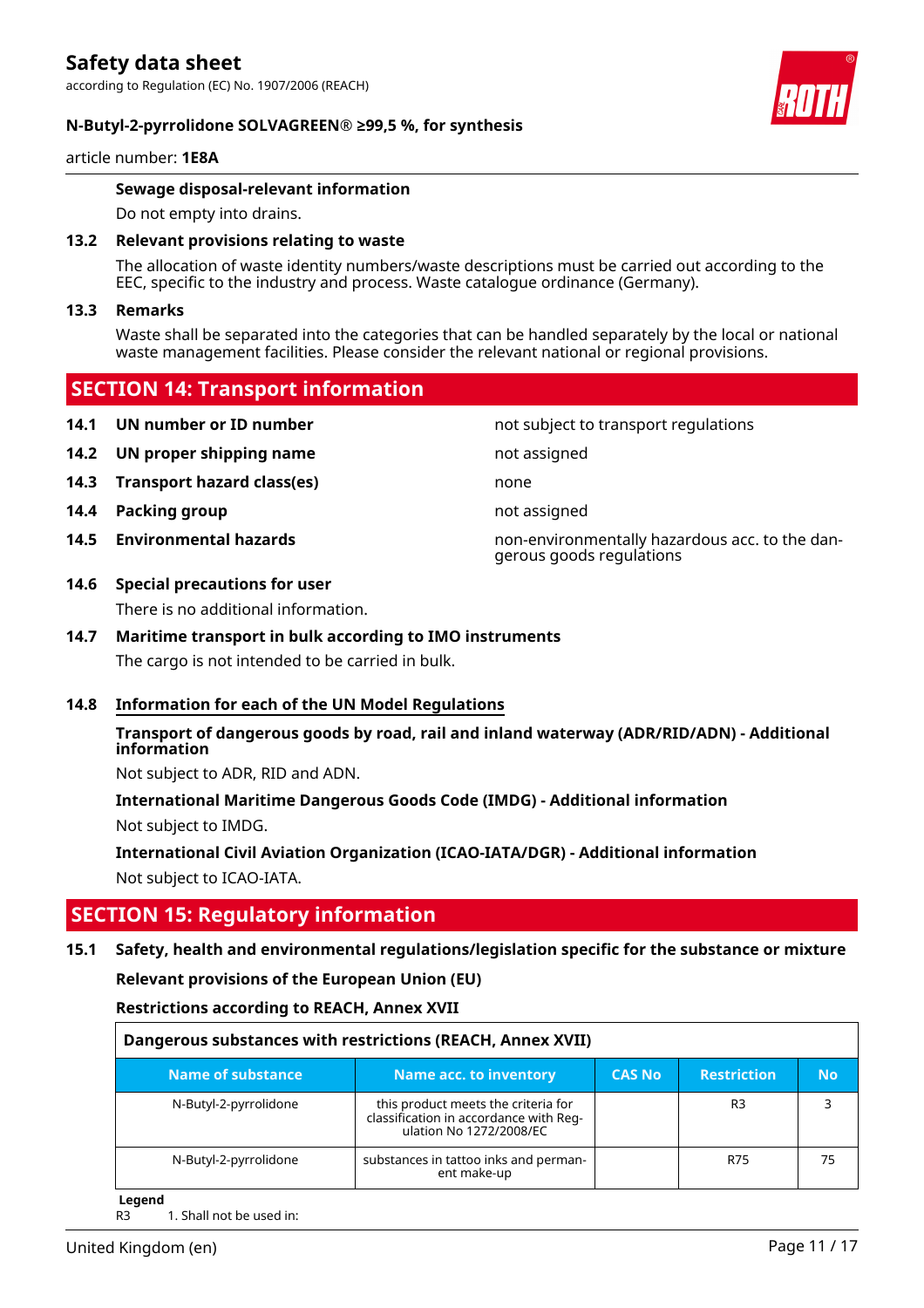#### **N-Butyl-2-pyrrolidone SOLVAGREEN® ≥99,5 %, for synthesis**

article number: **1E8A**

#### **Sewage disposal-relevant information**

Do not empty into drains.

#### **13.2 Relevant provisions relating to waste**

The allocation of waste identity numbers/waste descriptions must be carried out according to the EEC, specific to the industry and process. Waste catalogue ordinance (Germany).

#### **13.3 Remarks**

Waste shall be separated into the categories that can be handled separately by the local or national waste management facilities. Please consider the relevant national or regional provisions.

### **SECTION 14: Transport information**

- **14.1 UN number or ID number not subject to transport regulations**
- **14.2 UN proper shipping name** not assigned
- **14.3 Transport hazard class(es)** none
- **14.4 Packing group not assigned**
- 

#### **14.6 Special precautions for user**

There is no additional information.

#### **14.7 Maritime transport in bulk according to IMO instruments**

The cargo is not intended to be carried in bulk.

#### **14.8 Information for each of the UN Model Regulations**

#### **Transport of dangerous goods by road, rail and inland waterway (ADR/RID/ADN) - Additional information**

Not subject to ADR, RID and ADN.

**International Maritime Dangerous Goods Code (IMDG) - Additional information** Not subject to IMDG.

**International Civil Aviation Organization (ICAO-IATA/DGR) - Additional information** Not subject to ICAO-IATA.

## **SECTION 15: Regulatory information**

### **15.1 Safety, health and environmental regulations/legislation specific for the substance or mixture**

**Relevant provisions of the European Union (EU)**

**Restrictions according to REACH, Annex XVII**

| Dangerous substances with restrictions (REACH, Annex XVII) |                                                                                                          |               |                    |    |
|------------------------------------------------------------|----------------------------------------------------------------------------------------------------------|---------------|--------------------|----|
| Name of substance                                          | Name acc. to inventory                                                                                   | <b>CAS No</b> | <b>Restriction</b> | No |
| N-Butyl-2-pyrrolidone                                      | this product meets the criteria for<br>classification in accordance with Reg-<br>ulation No 1272/2008/EC |               | R <sub>3</sub>     |    |
| N-Butyl-2-pyrrolidone                                      | substances in tattoo inks and perman-<br>ent make-up                                                     |               | R75                | 75 |

**Legend**

R3 1. Shall not be used in:



**14.5 Environmental hazards** non-environmentally hazardous acc. to the dangerous goods regulations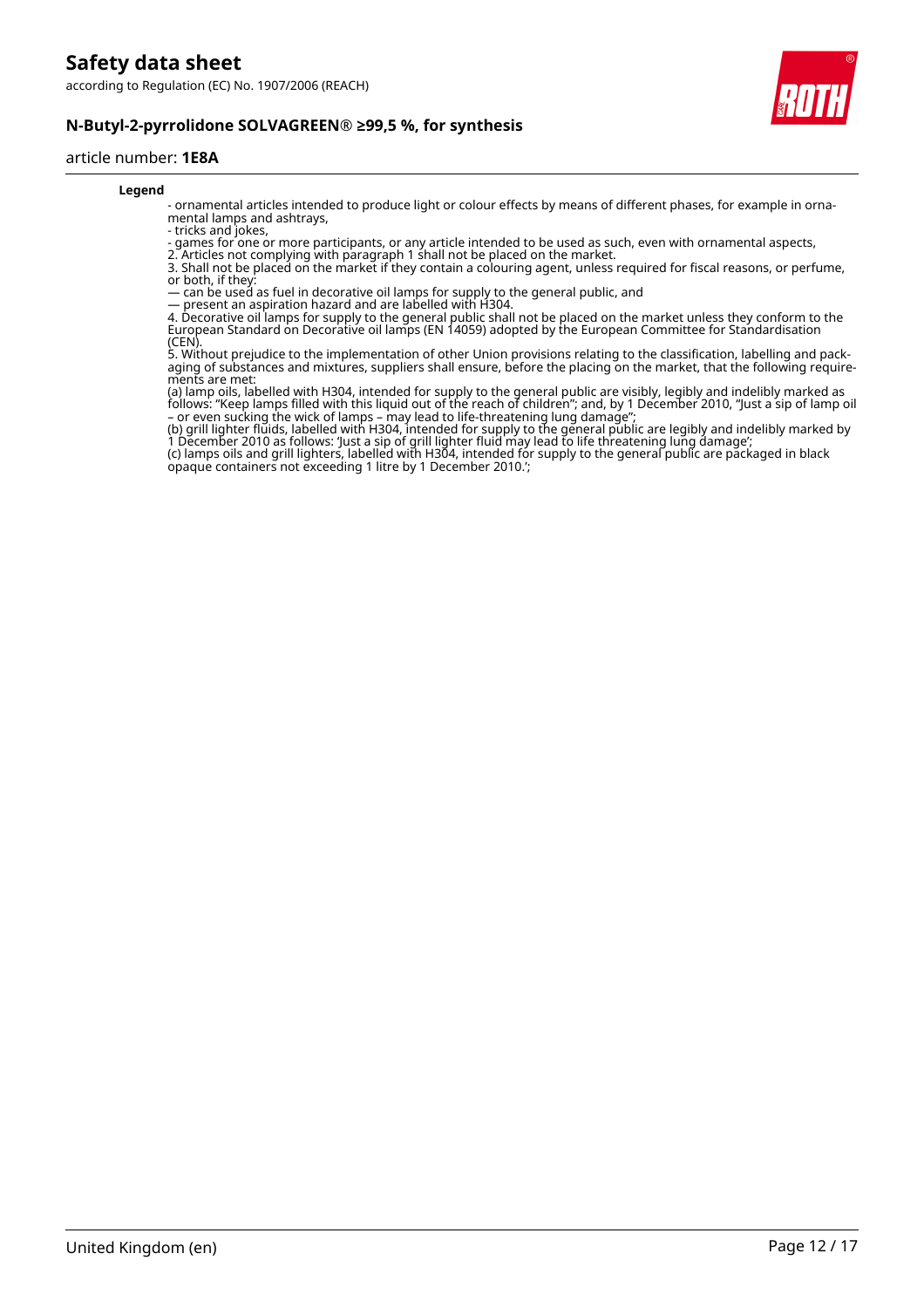

#### **N-Butyl-2-pyrrolidone SOLVAGREEN® ≥99,5 %, for synthesis**

#### article number: **1E8A**

#### **Legend**

- ornamental articles intended to produce light or colour effects by means of different phases, for example in ornamental lamps and ashtrays,

- tricks and jokes,

- games for one or more participants, or any article intended to be used as such, even with ornamental aspects,

2. Articles not complying with paragraph 1 shall not be placed on the market.

3. Shall not be placed on the market if they contain a colouring agent, unless required for fiscal reasons, or perfume, or both, if they:

— can be used as fuel in decorative oil lamps for supply to the general public, and

— present an aspiration hazard and are labelled with H304.

4. Decorative oil lamps for supply to the general public shall not be placed on the market unless they conform to the European Standard on Decorative oil lamps (EN 14059) adopted by the European Committee for Standardisation (CEN).

5. Without prejudice to the implementation of other Union provisions relating to the classification, labelling and packaging of substances and mixtures, suppliers shall ensure, before the placing on the market, that the following requirements are met:

(a) lamp oils, labelled with H304, intended for supply to the general public are visibly, legibly and indelibly marked as follows: "Keep lamps filled with this liquid out of the reach of children"; and, by 1 December 2010, "Just a sip of lamp oil – or even sucking the wick of lamps – may lead to life-threatening lung damage";

(b) grill lighter fluids, labelled with H304, intended for supply to the general public are legibly and indelibly marked by 1 December 2010 as follows: 'Just a sip of grill lighter fluid may lead to life threatening lung damage';

(c) lamps oils and grill lighters, labelled with H304, intended for supply to the general public are packaged in black opaque containers not exceeding 1 litre by 1 December 2010.';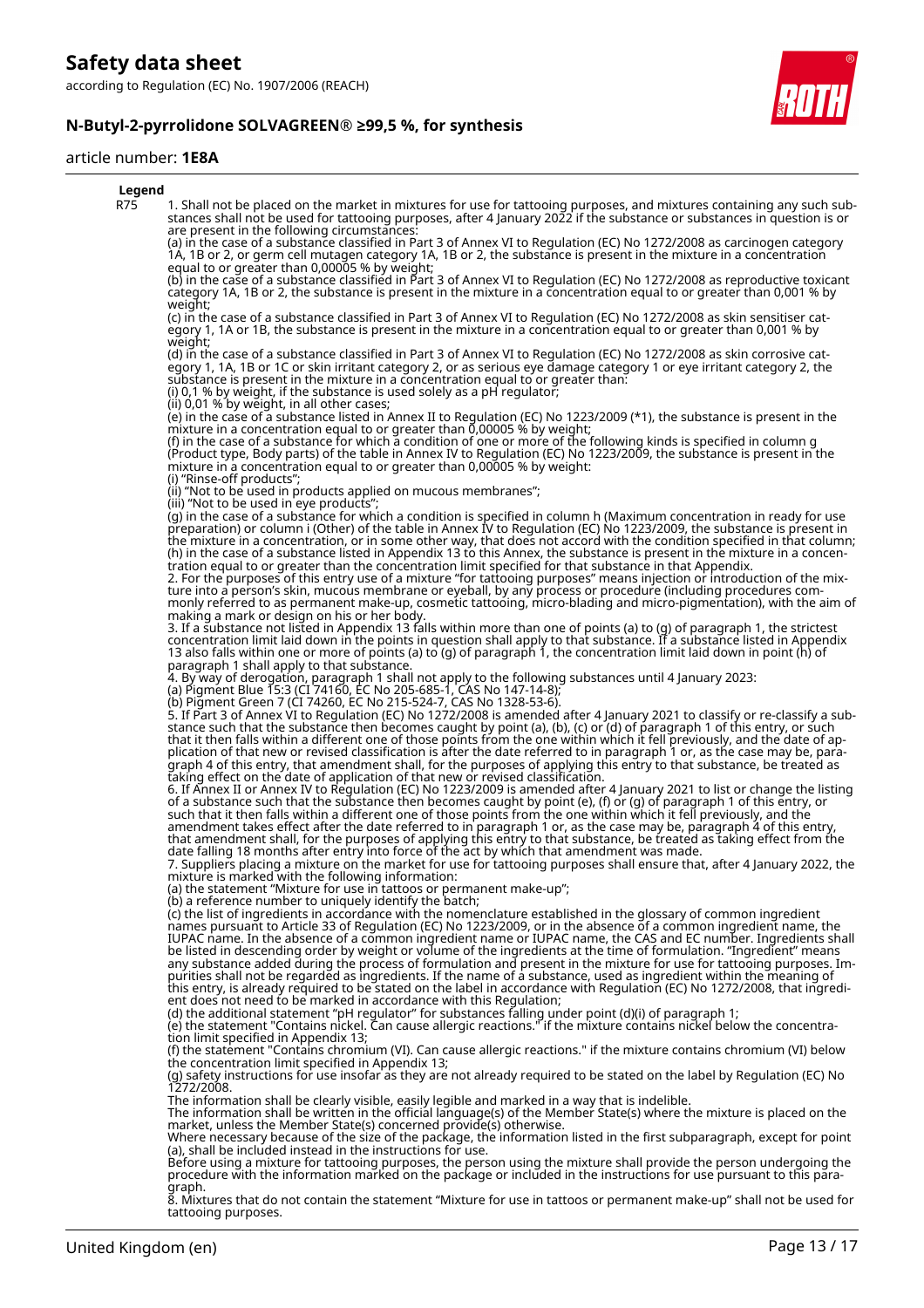

#### article number: **1E8A**



8. Mixtures that do not contain the statement "Mixture for use in tattoos or permanent make-up" shall not be used for tattooing purposes.

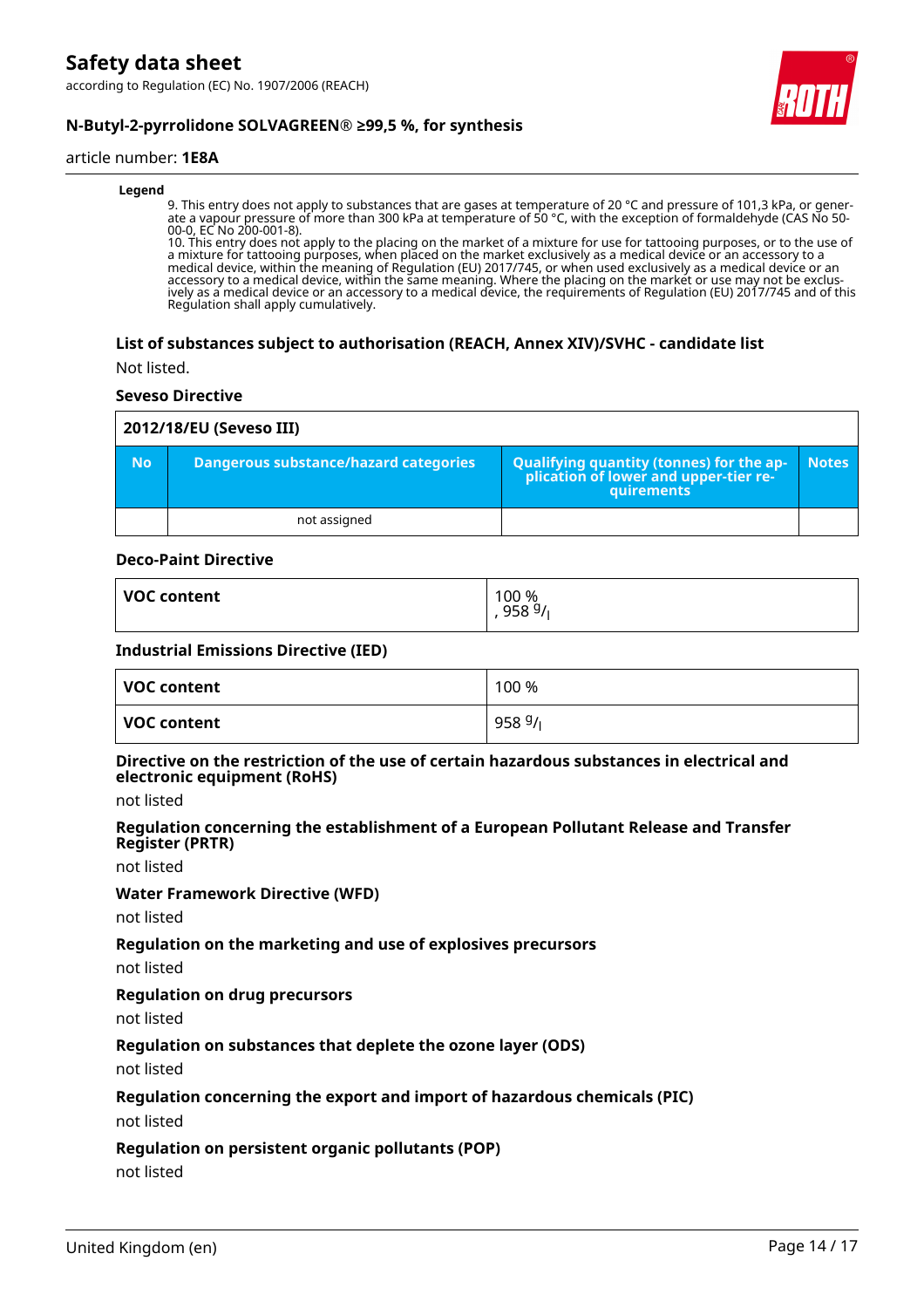

### **N-Butyl-2-pyrrolidone SOLVAGREEN® ≥99,5 %, for synthesis**

#### article number: **1E8A**

#### **Legend**

9. This entry does not apply to substances that are gases at temperature of 20 °C and pressure of 101,3 kPa, or generate a vapour pressure of more than 300 kPa at temperature of 50 °C, with the exception of formaldehyde (CAS No 50- 00-0, EC No 200-001-8).

10. This entry does not apply to the placing on the market of a mixture for use for tattooing purposes, or to the use of a mixture for tattooing purposes, when placed on the market exclusively as a medical device or an accessory to a medical device, within the meaning of Regulation (EU) 2017/745, or when used exclusively as a medical device or an accessory to a medical device, within the same meaning. Where the placing on the market or use may not be exclusively as a medical device or an accessory to a medical device, the requirements of Regulation (EU) 2017/745 and of this Regulation shall apply cumulatively.

#### **List of substances subject to authorisation (REACH, Annex XIV)/SVHC - candidate list**

Not listed.

#### **Seveso Directive**

|           | 2012/18/EU (Seveso III)                      |                                                                                                   |              |  |  |  |
|-----------|----------------------------------------------|---------------------------------------------------------------------------------------------------|--------------|--|--|--|
| <b>No</b> | <b>Dangerous substance/hazard categories</b> | Qualifying quantity (tonnes) for the application of lower and upper-tier re-<br><b>auirements</b> | <b>Notes</b> |  |  |  |
|           | not assigned                                 |                                                                                                   |              |  |  |  |

#### **Deco-Paint Directive**

| <b>VOC content</b> | 100 %<br>9589/ |
|--------------------|----------------|
|                    |                |

#### **Industrial Emissions Directive (IED)**

| VOC content | 100 %     |
|-------------|-----------|
| VOC content | 958 $9/1$ |

#### **Directive on the restriction of the use of certain hazardous substances in electrical and electronic equipment (RoHS)**

not listed

#### **Regulation concerning the establishment of a European Pollutant Release and Transfer Register (PRTR)**

not listed

#### **Water Framework Directive (WFD)**

not listed

#### **Regulation on the marketing and use of explosives precursors**

not listed

#### **Regulation on drug precursors**

not listed

#### **Regulation on substances that deplete the ozone layer (ODS)**

not listed

#### **Regulation concerning the export and import of hazardous chemicals (PIC)**

not listed

#### **Regulation on persistent organic pollutants (POP)**

not listed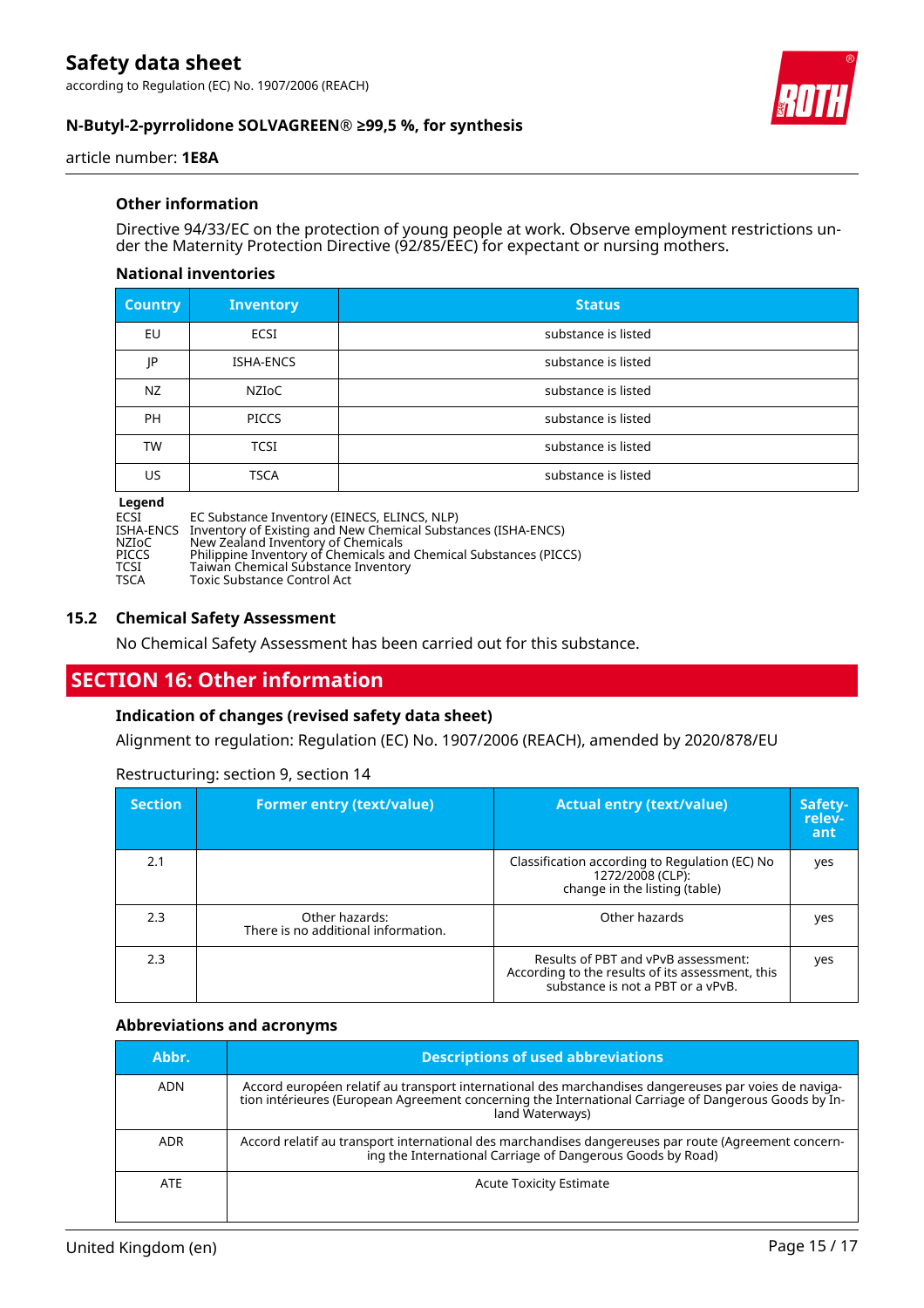

#### **N-Butyl-2-pyrrolidone SOLVAGREEN® ≥99,5 %, for synthesis**

article number: **1E8A**

#### **Other information**

Directive 94/33/EC on the protection of young people at work. Observe employment restrictions under the Maternity Protection Directive (92/85/EEC) for expectant or nursing mothers.

#### **National inventories**

| <b>Country</b> | <b>Inventory</b> | <b>Status</b>       |
|----------------|------------------|---------------------|
| EU             | ECSI             | substance is listed |
| JP             | ISHA-ENCS        | substance is listed |
| NZ             | NZIoC            | substance is listed |
| <b>PH</b>      | <b>PICCS</b>     | substance is listed |
| <b>TW</b>      | <b>TCSI</b>      | substance is listed |
| US.            | <b>TSCA</b>      | substance is listed |

# **Legend**

ECSI EC Substance Inventory (EINECS, ELINCS, NLP)

ISHA-ENCS Inventory of Existing and New Chemical Substances (ISHA-ENCS)

NZIoC New Zealand Inventory of Chemicals PICCS Philippine Inventory of Chemicals and Chemical Substances (PICCS)

TCSI Taiwan Chemical Substance Inventory

TSCA Toxic Substance Control Act

#### **15.2 Chemical Safety Assessment**

No Chemical Safety Assessment has been carried out for this substance.

# **SECTION 16: Other information**

#### **Indication of changes (revised safety data sheet)**

Alignment to regulation: Regulation (EC) No. 1907/2006 (REACH), amended by 2020/878/EU

| <b>Section</b> | <b>Former entry (text/value)</b>                      | <b>Actual entry (text/value)</b>                                                                                             | Safety-<br>relev-<br>ant |
|----------------|-------------------------------------------------------|------------------------------------------------------------------------------------------------------------------------------|--------------------------|
| 2.1            |                                                       | Classification according to Regulation (EC) No<br>1272/2008 (CLP):<br>change in the listing (table)                          | yes                      |
| 2.3            | Other hazards:<br>There is no additional information. | Other hazards                                                                                                                | yes                      |
| 2.3            |                                                       | Results of PBT and vPvB assessment:<br>According to the results of its assessment, this<br>substance is not a PBT or a vPvB. | yes                      |

Restructuring: section 9, section 14

#### **Abbreviations and acronyms**

| Abbr.      | <b>Descriptions of used abbreviations</b>                                                                                                                                                                                       |
|------------|---------------------------------------------------------------------------------------------------------------------------------------------------------------------------------------------------------------------------------|
| <b>ADN</b> | Accord européen relatif au transport international des marchandises dangereuses par voies de naviga-<br>tion intérieures (European Agreement concerning the International Carriage of Dangerous Goods by In-<br>land Waterways) |
| <b>ADR</b> | Accord relatif au transport international des marchandises dangereuses par route (Agreement concern-<br>ing the International Carriage of Dangerous Goods by Road)                                                              |
| <b>ATE</b> | <b>Acute Toxicity Estimate</b>                                                                                                                                                                                                  |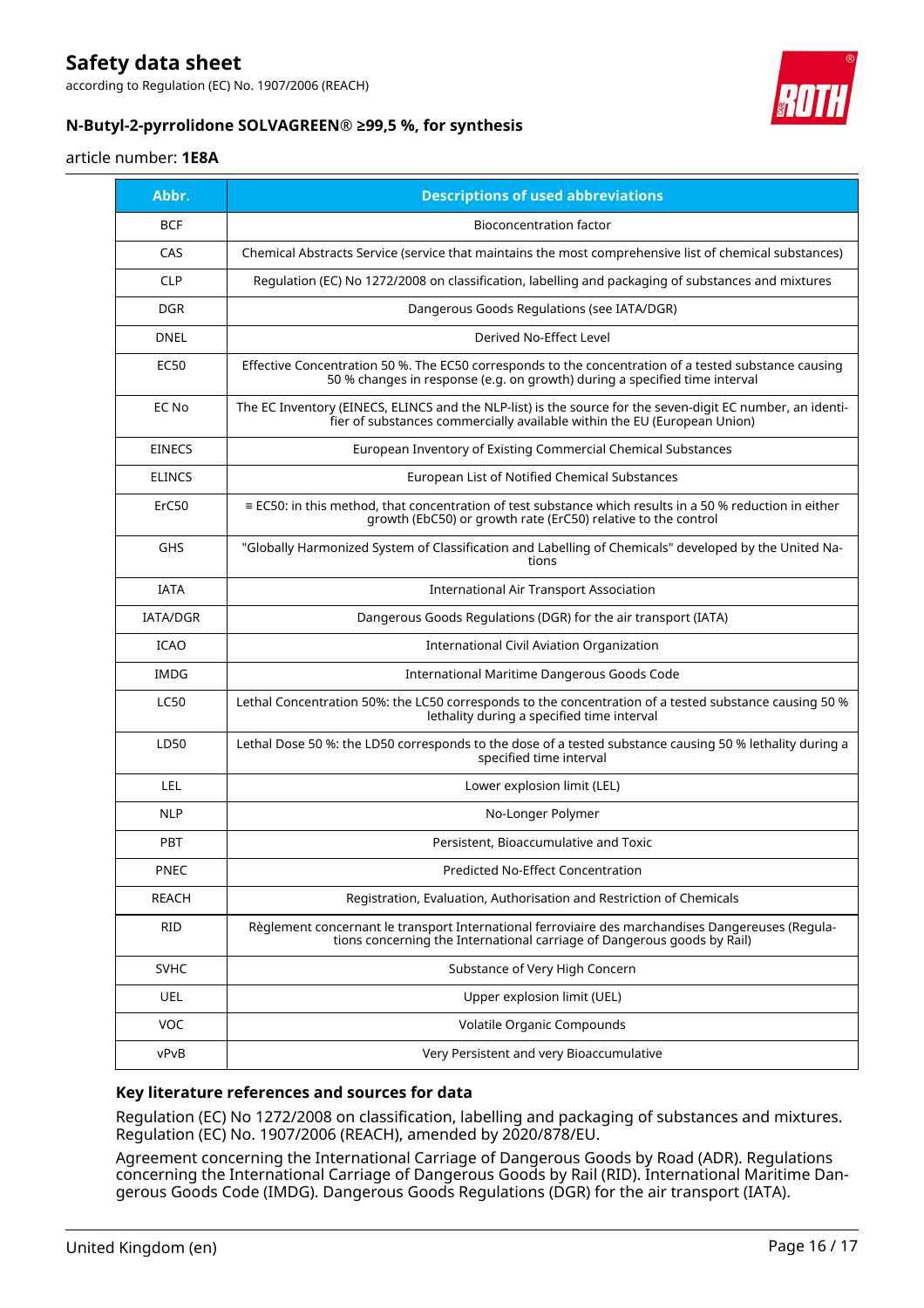according to Regulation (EC) No. 1907/2006 (REACH)



### **N-Butyl-2-pyrrolidone SOLVAGREEN® ≥99,5 %, for synthesis**

#### article number: **1E8A**

| Abbr.         | <b>Descriptions of used abbreviations</b>                                                                                                                                              |
|---------------|----------------------------------------------------------------------------------------------------------------------------------------------------------------------------------------|
| <b>BCF</b>    | <b>Bioconcentration factor</b>                                                                                                                                                         |
| CAS           | Chemical Abstracts Service (service that maintains the most comprehensive list of chemical substances)                                                                                 |
| <b>CLP</b>    | Regulation (EC) No 1272/2008 on classification, labelling and packaging of substances and mixtures                                                                                     |
| <b>DGR</b>    | Dangerous Goods Regulations (see IATA/DGR)                                                                                                                                             |
| <b>DNEL</b>   | Derived No-Effect Level                                                                                                                                                                |
| <b>EC50</b>   | Effective Concentration 50 %. The EC50 corresponds to the concentration of a tested substance causing<br>50 % changes in response (e.g. on growth) during a specified time interval    |
| EC No         | The EC Inventory (EINECS, ELINCS and the NLP-list) is the source for the seven-digit EC number, an identi-<br>fier of substances commercially available within the EU (European Union) |
| <b>EINECS</b> | European Inventory of Existing Commercial Chemical Substances                                                                                                                          |
| <b>ELINCS</b> | European List of Notified Chemical Substances                                                                                                                                          |
| ErC50         | $\equiv$ EC50: in this method, that concentration of test substance which results in a 50 % reduction in either<br>growth (EbC50) or growth rate (ErC50) relative to the control       |
| <b>GHS</b>    | "Globally Harmonized System of Classification and Labelling of Chemicals" developed by the United Na-<br>tions                                                                         |
| <b>IATA</b>   | <b>International Air Transport Association</b>                                                                                                                                         |
| IATA/DGR      | Dangerous Goods Regulations (DGR) for the air transport (IATA)                                                                                                                         |
| <b>ICAO</b>   | International Civil Aviation Organization                                                                                                                                              |
| IMDG          | International Maritime Dangerous Goods Code                                                                                                                                            |
| <b>LC50</b>   | Lethal Concentration 50%: the LC50 corresponds to the concentration of a tested substance causing 50 %<br>lethality during a specified time interval                                   |
| LD50          | Lethal Dose 50 %: the LD50 corresponds to the dose of a tested substance causing 50 % lethality during a<br>specified time interval                                                    |
| LEL           | Lower explosion limit (LEL)                                                                                                                                                            |
| <b>NLP</b>    | No-Longer Polymer                                                                                                                                                                      |
| <b>PBT</b>    | Persistent, Bioaccumulative and Toxic                                                                                                                                                  |
| PNEC          | Predicted No-Effect Concentration                                                                                                                                                      |
| REACH         | Registration, Evaluation, Authorisation and Restriction of Chemicals                                                                                                                   |
| <b>RID</b>    | Règlement concernant le transport International ferroviaire des marchandises Dangereuses (Regula-<br>tions concerning the International carriage of Dangerous goods by Rail)           |
| <b>SVHC</b>   | Substance of Very High Concern                                                                                                                                                         |
| UEL           | Upper explosion limit (UEL)                                                                                                                                                            |
| <b>VOC</b>    | Volatile Organic Compounds                                                                                                                                                             |
| vPvB          | Very Persistent and very Bioaccumulative                                                                                                                                               |

#### **Key literature references and sources for data**

Regulation (EC) No 1272/2008 on classification, labelling and packaging of substances and mixtures. Regulation (EC) No. 1907/2006 (REACH), amended by 2020/878/EU.

Agreement concerning the International Carriage of Dangerous Goods by Road (ADR). Regulations concerning the International Carriage of Dangerous Goods by Rail (RID). International Maritime Dangerous Goods Code (IMDG). Dangerous Goods Regulations (DGR) for the air transport (IATA).